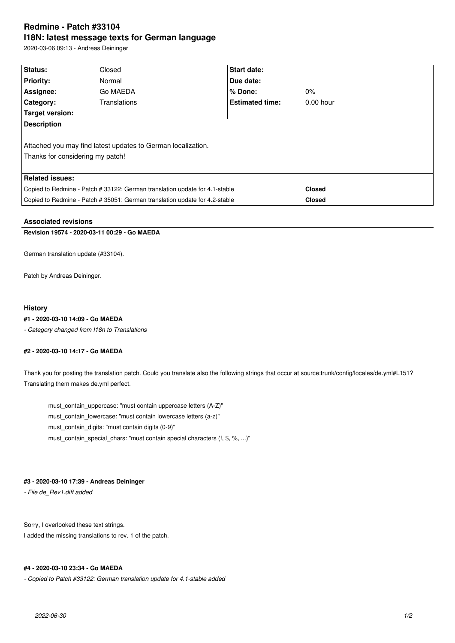# **Redmine - Patch #33104 I18N: latest message texts for German language**

2020-03-06 09:13 - Andreas Deininger

| Normal                                                                      | Due date:              |                    |  |  |  |
|-----------------------------------------------------------------------------|------------------------|--------------------|--|--|--|
| Go MAEDA                                                                    | % Done:                | $0\%$              |  |  |  |
| Translations                                                                | <b>Estimated time:</b> | $0.00$ hour        |  |  |  |
|                                                                             |                        |                    |  |  |  |
| <b>Description</b>                                                          |                        |                    |  |  |  |
|                                                                             |                        |                    |  |  |  |
| Attached you may find latest updates to German localization.                |                        |                    |  |  |  |
| Thanks for considering my patch!                                            |                        |                    |  |  |  |
|                                                                             |                        |                    |  |  |  |
| <b>Related issues:</b>                                                      |                        |                    |  |  |  |
| Copied to Redmine - Patch # 33122: German translation update for 4.1-stable |                        | <b>Closed</b>      |  |  |  |
| Copied to Redmine - Patch # 35051: German translation update for 4.2-stable |                        | <b>Closed</b>      |  |  |  |
|                                                                             | Closed                 | <b>Start date:</b> |  |  |  |

## **Associated revisions**

**Revision 19574 - 2020-03-11 00:29 - Go MAEDA**

German translation update (#33104).

Patch by Andreas Deininger.

#### **History**

#### **#1 - 2020-03-10 14:09 - Go MAEDA**

*- Category changed from I18n to Translations*

#### **#2 - 2020-03-10 14:17 - Go MAEDA**

Thank you for posting the translation patch. Could you translate also the following strings that occur at source:trunk/config/locales/de.yml#L151? Translating them makes de.yml perfect.

 must\_contain\_uppercase: "must contain uppercase letters (A-Z)" must\_contain\_lowercase: "must contain lowercase letters (a-z)" must\_contain\_digits: "must contain digits (0-9)" must\_contain\_special\_chars: "must contain special characters (!, \$, %, ...)"

### **#3 - 2020-03-10 17:39 - Andreas Deininger**

*- File de\_Rev1.diff added*

Sorry, I overlooked these text strings. I added the missing translations to rev. 1 of the patch.

#### **#4 - 2020-03-10 23:34 - Go MAEDA**

*- Copied to Patch #33122: German translation update for 4.1-stable added*